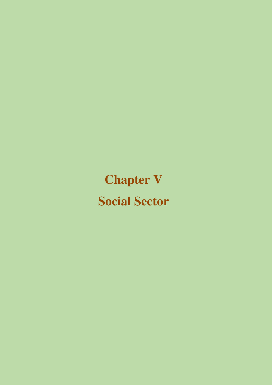**Chapter V Social Sector**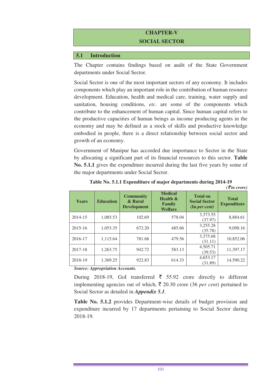# **CHAPTER-V SOCIAL SECTOR**

### **5.1 Introduction**

The Chapter contains findings based on audit of the State Government departments under Social Sector.

Social Sector is one of the most important sectors of any economy. It includes components which play an important role in the contribution of human resource development. Education, health and medical care, training, water supply and sanitation, housing conditions, *etc.* are some of the components which contribute to the enhancement of human capital. Since human capital refers to the productive capacities of human beings as income producing agents in the economy and may be defined as a stock of skills and productive knowledge embodied in people, there is a direct relationship between social sector and growth of an economy.

Government of Manipur has accorded due importance to Sector in the State by allocating a significant part of its financial resources to this sector. **Table No. 5.1.1** gives the expenditure incurred during the last five years by some of the major departments under Social Sector.

| <b>Years</b> | <b>Education</b> | <b>Community</b><br>& Rural<br><b>Development</b> | <b>Medical</b><br>Health &<br>Family<br><b>Welfare</b> | <b>Total on</b><br><b>Social Sector</b><br>(In per cent) | <b>Total</b><br><b>Expenditure</b> |
|--------------|------------------|---------------------------------------------------|--------------------------------------------------------|----------------------------------------------------------|------------------------------------|
| 2014-15      | 1,085.53         | 102.69                                            | 578.04                                                 | 3.373.55<br>(37.97)                                      | 8,884.61                           |
| 2015-16      | 1.053.35         | 672.20                                            | 485.66                                                 | 3,255.28<br>(35.78)                                      | 9.098.16                           |
| 2016-17      | 1.115.64         | 781.68                                            | 479.56                                                 | 3,375.68<br>(31.11)                                      | 10,852.06                          |
| 2017-18      | 1.263.75         | 942.72                                            | 583.13                                                 | 4,505.71<br>(39.53)                                      | 11,397.17                          |
| 2018-19      | 1,369.25         | 922.83                                            | 614.33                                                 | 4,653.17<br>(31.89)                                      | 14,590.22                          |

| Table No. 5.1.1 Expenditure of major departments during 2014-19 |                                    |  |
|-----------------------------------------------------------------|------------------------------------|--|
|                                                                 | $\overline{\mathcal{E}}$ in crore) |  |

*Source: Appropriation Accounts.* 

During 2018-19, GoI transferred  $\bar{\tau}$  55.92 crore directly to different implementing agencies out of which,  $\bar{\tau}$  20.30 crore (36 *per cent*) pertained to Social Sector as detailed in *Appendix 5.1*.

**Table No. 5.1.2** provides Department-wise details of budget provision and expenditure incurred by 17 departments pertaining to Social Sector during 2018-19.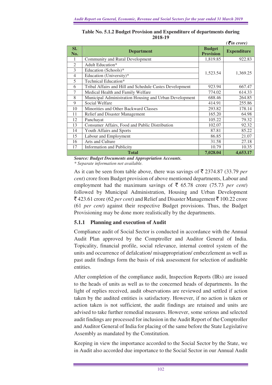|                |                                                         |                                   | $($ <i>₹in crore</i> $)$ |
|----------------|---------------------------------------------------------|-----------------------------------|--------------------------|
| SI.<br>No.     | <b>Department</b>                                       | <b>Budget</b><br><b>Provision</b> | <b>Expenditure</b>       |
| 1              | Community and Rural Development                         | 1,819.85                          | 922.83                   |
| $\mathfrak{2}$ | Adult Education*                                        |                                   |                          |
| 3              | Education (Schools)*                                    |                                   |                          |
| $\overline{4}$ | Education (University)*                                 | 1,523.54                          | 1,369.25                 |
| 5              | Technical Education*                                    |                                   |                          |
| 6              | Tribal Affairs and Hill and Schedule Castes Development | 923.94                            | 667.47                   |
| 7              | Medical Health and Family Welfare                       | 774.02                            | 614.33                   |
| 8              | Municipal Administration Housing and Urban Development  | 688.46                            | 264.85                   |
| 9              | Social Welfare                                          | 414.91                            | 255.86                   |
| 10             | Minorities and Other Backward Classes                   | 293.82                            | 178.14                   |
| 11             | Relief and Disaster Management                          | 165.20                            | 64.98                    |
| 12             | Panchayat                                               | 105.22                            | 79.32                    |
| 13             | Consumer Affairs, Food and Public Distribution          | 102.07                            | 92.32                    |
| 14             | Youth Affairs and Sports                                | 87.81                             | 85.22                    |
| 15             | Labour and Employment                                   | 86.85                             | 21.07                    |
| 16             | Arts and Culture                                        | 31.58                             | 27.18                    |
| 17             | <b>Information and Publicity</b>                        | 10.79                             | 10.35                    |
|                | <b>Total</b>                                            | 7,028.04                          | 4,653.17                 |

| Table No. 5.1.2 Budget Provision and Expenditure of departments during |
|------------------------------------------------------------------------|
| 2018-19                                                                |

*Source: Budget Documents and Appropriation Accounts.* 

*\* Separate information not available.* 

As it can be seen from table above, there was savings of  $\bar{\tau}$  2374.87 (33.79 *per cent*) crore from Budget provision of above mentioned departments, Labour and employment had the maximum savings of  $\bar{\bar{\xi}}$  65.78 crore (75.73 *per cent*) followed by Municipal Administration, Housing and Urban Development  $\bar{\mathcal{F}}$  423.61 crore (62 *per cent*) and Relief and Disaster Management  $\bar{\mathcal{F}}$  100.22 crore (61 *per cent*) against their respective Budget provisions. Thus, the Budget Provisioning may be done more realistically by the departments.

### **5.1.1 Planning and execution of Audit**

Compliance audit of Social Sector is conducted in accordance with the Annual Audit Plan approved by the Comptroller and Auditor General of India. Topicality, financial profile, social relevance, internal control system of the units and occurrence of defalcation/ misappropriation/ embezzlement as well as past audit findings form the basis of risk assessment for selection of auditable entities.

After completion of the compliance audit, Inspection Reports (IRs) are issued to the heads of units as well as to the concerned heads of departments. In the light of replies received, audit observations are reviewed and settled if action taken by the audited entities is satisfactory. However, if no action is taken or action taken is not sufficient, the audit findings are retained and units are advised to take further remedial measures. However, some serious and selected audit findings are processed for inclusion in the Audit Report of the Comptroller and Auditor General of India for placing of the same before the State Legislative Assembly as mandated by the Constitution.

Keeping in view the importance accorded to the Social Sector by the State, we in Audit also accorded due importance to the Social Sector in our Annual Audit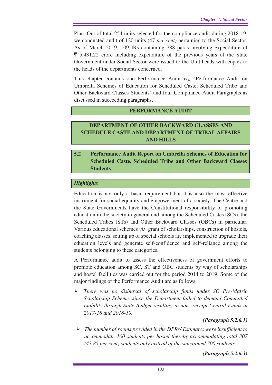Plan. Out of total 254 units selected for the compliance audit during 2018-19, we conducted audit of 120 units (47 *per cent)* pertaining to the Social Sector. As of March 2019, 109 IRs containing 788 paras involving expenditure of  $\bar{\xi}$  5,431.22 crore including expenditure of the previous years of the State Government under Social Sector were issued to the Unit heads with copies to the heads of the departments concerned.

This chapter contains one Performance Audit *viz*. 'Performance Audit on Umbrella Schemes of Education for Scheduled Caste, Scheduled Tribe and Other Backward Classes Students' and four Compliance Audit Paragraphs as discussed in succeeding paragraphs.

### **PERFORMANCE AUDIT**

# **DEPARTMENT OF OTHER BACKWARD CLASSES AND SCHEDULE CASTE AND DEPARTMENT OF TRIBAL AFFAIRS AND HILLS**

# **5.2 Performance Audit Report on Umbrella Schemes of Education for Scheduled Caste, Scheduled Tribe and Other Backward Classes Students**

### *Highlights*

Education is not only a basic requirement but it is also the most effective instrument for social equality and empowerment of a society. The Centre and the State Governments have the Constitutional responsibility of promoting education in the society in general and among the Scheduled Castes (SCs), the Scheduled Tribes (STs) and Other Backward Classes (OBCs) in particular. Various educational schemes *viz*. grant of scholarships, construction of hostels, coaching classes, setting up of special schools are implemented to upgrade their education levels and generate self-confidence and self-reliance among the students belonging to these categories.

A Performance audit to assess the effectiveness of government efforts to promote education among SC, ST and OBC students by way of scholarships and hostel facilities was carried out for the period 2014 to 2019. Some of the major findings of the Performance Audit are as follows:

 *There was no disbursal of scholarship funds under SC Pre-Matric Scholarship Scheme, since the Department failed to demand Committed Liability through State Budget resulting in non- receipt Central Funds in 2017-18 and 2018-19.* 

### *(Paragraph 5.2.6.1)*

 *The number of rooms provided in the DPRs/ Estimates were insufficient to accommodate 100 students per hostel thereby accommodating total 307 (43.85 per cent) students only instead of the sanctioned 700 students.*

*(Paragraph 5.2.6.3)*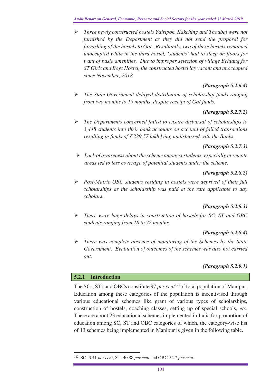*Three newly constructed hostels Yairipok, Kakching and Thoubal were not furnished by the Department as they did not send the proposal for furnishing of the hostels to GoI. Resultantly, two of these hostels remained unoccupied while in the third hostel, 'students' had to sleep on floors for want of basic amenities. Due to improper selection of village Behiang for ST Girls and Boys Hostel, the constructed hostel lay vacant and unoccupied since November, 2018.* 

# *(Paragraph 5.2.6.4)*

 *The State Government delayed distribution of scholarship funds ranging from two months to 19 months, despite receipt of GoI funds.* 

# *(Paragraph 5.2.7.2)*

 *The Departments concerned failed to ensure disbursal of scholarships to 3,448 students into their bank accounts on account of failed transactions resulting in funds of*  $\bar{\xi}$ *229.57 lakh lying undisbursed with the Banks.* 

### *(Paragraph 5.2.7.3)*

 *Lack of awareness about the scheme amongst students, especially in remote areas led to less coverage of potential students under the scheme.* 

# *(Paragraph 5.2.8.2)*

 *Post-Matric OBC students residing in hostels were deprived of their full scholarships as the scholarship was paid at the rate applicable to day scholars.* 

# *(Paragraph 5.2.8.3)*

 *There were huge delays in construction of hostels for SC, ST and OBC students ranging from 18 to 72 months.* 

# *(Paragraph 5.2.8.4)*

 *There was complete absence of monitoring of the Schemes by the State Government. Evaluation of outcomes of the schemes was also not carried out.* 

# *(Paragraph 5.2.9.1)*

### **5.2.1 Introduction**

 $\overline{a}$ 

The SCs, STs and OBCs constitute 97 *per cent*<sup>122</sup> of total population of Manipur. Education among these categories of the population is incentivised through various educational schemes like grant of various types of scholarships, construction of hostels, coaching classes, setting up of special schools, *etc*. There are about 23 educational schemes implemented in India for promotion of education among SC, ST and OBC categories of which, the category-wise list of 13 schemes being implemented in Manipur is given in the following table.

<sup>122</sup> SC- 3.41 *per cent*, ST- 40.88 *per cent* and OBC-52.7 *per cent*.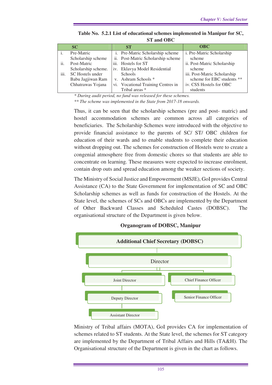|      | SC                  |  | <b>ST</b>                          | <b>OBC</b>                   |  |  |  |  |
|------|---------------------|--|------------------------------------|------------------------------|--|--|--|--|
|      | Pre-Matric          |  | i. Pre-Matric Scholarship scheme   | i. Pre-Matric Scholarship    |  |  |  |  |
|      | Scholarship scheme  |  | ii. Post-Matric Scholarship scheme | scheme                       |  |  |  |  |
| ii.  | Post-Matric         |  | iii. Hostels for ST                | ii. Post-Matric Scholarship  |  |  |  |  |
|      | Scholarship scheme. |  | iv. Eklavya Model Residential      | scheme                       |  |  |  |  |
| iii. | SC Hostels under    |  | <b>Schools</b>                     | iii. Post-Matric Scholarship |  |  |  |  |
|      | Babu Jagjiwan Ram   |  | v. Ashram Schools *                | scheme for EBC students **   |  |  |  |  |
|      | Chhatrawas Yojana   |  | vi. Vocational Training Centres in | iv. CSS Hostels for OBC      |  |  |  |  |
|      |                     |  | Tribal areas *                     | students                     |  |  |  |  |

**Table No. 5.2.1 List of educational schemes implemented in Manipur for SC, ST and OBC** 

*\* During audit period, no fund was released for these schemes.* 

*\*\* The scheme was implemented in the State from 2017-18 onwards.* 

Thus, it can be seen that the scholarship schemes (pre and post- matric) and hostel accommodation schemes are common across all categories of beneficiaries. The Scholarship Schemes were introduced with the objective to provide financial assistance to the parents of SC/ ST/ OBC children for education of their wards and to enable students to complete their education without dropping out. The schemes for construction of Hostels were to create a congenial atmosphere free from domestic chores so that students are able to concentrate on learning. These measures were expected to increase enrolment, contain drop outs and spread education among the weaker sections of society.

The Ministry of Social Justice and Empowerment (MSJE), GoI provides Central Assistance (CA) to the State Government for implementation of SC and OBC Scholarship schemes as well as funds for construction of the Hostels. At the State level, the schemes of SCs and OBCs are implemented by the Department of Other Backward Classes and Scheduled Castes (DOBSC). The organisational structure of the Department is given below.



#### **Organogram of DOBSC, Manipur**

Ministry of Tribal affairs (MOTA), GoI provides CA for implementation of schemes related to ST students. At the State level, the schemes for ST category are implemented by the Department of Tribal Affairs and Hills (TA&H). The Organisational structure of the Department is given in the chart as follows.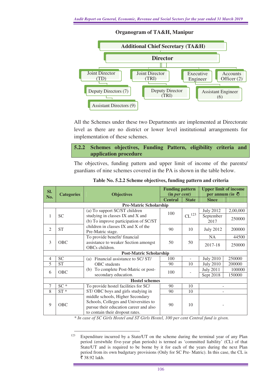

### **Organogram of TA&H, Manipur**

All the Schemes under these two Departments are implemented at Directorate level as there are no district or lower level institutional arrangements for implementation of these schemes.

### **5.2.2 Schemes objectives, Funding Pattern, eligibility criteria and application procedure**

The objectives, funding pattern and upper limit of income of the parents/ guardians of nine schemes covered in the PA is shown in the table below.

| SI.            |                                        |                                         | <b>Funding pattern</b> |                     | <b>Upper limit of income</b> |          |  |  |  |  |
|----------------|----------------------------------------|-----------------------------------------|------------------------|---------------------|------------------------------|----------|--|--|--|--|
| No.            | <b>Objectives</b><br><b>Categories</b> |                                         | (in per cent)          |                     | per annum (in $\bar{z}$ )    |          |  |  |  |  |
|                |                                        |                                         | <b>Central</b>         | <b>State</b>        | <b>Since</b>                 |          |  |  |  |  |
|                | <b>Pre-Matric Scholarship</b>          |                                         |                        |                     |                              |          |  |  |  |  |
|                |                                        | (a) To support SC/ST children           | 100                    |                     | <b>July 2012</b>             | 2,00,000 |  |  |  |  |
| 1              | <b>SC</b>                              | studying in classes IX and X and        |                        | $\mathrm{CL}^{123}$ | September                    |          |  |  |  |  |
|                |                                        | (b) To improve participation of SC/ST   |                        |                     | 2017                         | 250000   |  |  |  |  |
|                |                                        | children in classes IX and X of the     |                        |                     |                              |          |  |  |  |  |
| 2              | <b>ST</b>                              | Pre-Matric stage.                       | 90                     | 10                  | <b>July 2012</b>             | 200000   |  |  |  |  |
|                |                                        | To provide benefit/financial            |                        |                     | <b>NA</b>                    | 44500    |  |  |  |  |
| 3              | OBC                                    | assistance to weaker Section amongst    | 50                     | 50                  |                              |          |  |  |  |  |
|                |                                        | OBCs children.                          |                        |                     | 2017-18                      | 250000   |  |  |  |  |
|                |                                        | <b>Post-Matric Scholarship</b>          |                        |                     |                              |          |  |  |  |  |
| $\overline{4}$ | <b>SC</b>                              | Financial assistance to SC/ST/<br>(a)   | 100                    |                     | <b>July 2010</b>             | 250000   |  |  |  |  |
| 5              | <b>ST</b>                              | <b>OBC</b> students                     | 90                     | 10                  | <b>July 2010</b>             | 200000   |  |  |  |  |
|                |                                        | To complete Post-Matric or post-<br>(b) |                        |                     | <b>July 2011</b>             | 100000   |  |  |  |  |
| 6              | OBC                                    | secondary education.                    | 100                    |                     | Sept 2018                    | 150000   |  |  |  |  |
|                |                                        | <b>Hostel schemes</b>                   |                        |                     |                              |          |  |  |  |  |
| $\overline{7}$ | $SC*$                                  | To provide hostel facilities for SC/    | 90                     | 10                  |                              |          |  |  |  |  |
| 8              | $ST*$                                  | ST/OBC boys and girls studying in       | 90                     | 10                  |                              |          |  |  |  |  |
|                |                                        | middle schools, Higher Secondary        |                        |                     |                              |          |  |  |  |  |
|                |                                        | Schools, Colleges and Universities to   |                        |                     |                              |          |  |  |  |  |
| 9              | OBC                                    | pursue their education career and also  | 90                     | 10                  |                              |          |  |  |  |  |
|                |                                        | to contain their dropout rates.         |                        |                     |                              |          |  |  |  |  |

| Table No. 5.2.2 Scheme objectives, funding pattern and criteria |  |  |  |
|-----------------------------------------------------------------|--|--|--|
|-----------------------------------------------------------------|--|--|--|

*\* In case of SC Girls Hostel and ST Girls Hostel, 100 per cent Central fund is given.* 

<sup>123</sup> Expenditure incurred by a State/UT on the scheme during the terminal year of any Plan period (erstwhile five-year plan periods) is termed as 'committed liability' (CL) of that State/UT and is required to be borne by it for each of the years during the next Plan period from its own budgetary provisions (Only for SC Pre- Matric). In this case, the CL is ₹ 38.92 lakh.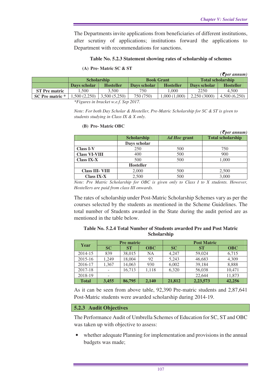The Departments invite applications from beneficiaries of different institutions, after scrutiny of applications; institutions forward the applications to Department with recommendations for sanctions.

#### **Table No. 5.2.3 Statement showing rates of scholarship of schemes**

#### **(A) Pre- Matric SC & ST**

|                      |                    |                  |                   |                  |                          | $($ <b>₹</b> per annum $)$ |  |
|----------------------|--------------------|------------------|-------------------|------------------|--------------------------|----------------------------|--|
|                      | <b>Scholarship</b> |                  | <b>Book Grant</b> |                  | <b>Total scholarship</b> |                            |  |
|                      | Days scholar       | <b>Hosteller</b> | Days scholar      | <b>Hosteller</b> | Davs scholar             | <b>Hosteller</b>           |  |
| <b>ST Pre matric</b> | .500               | 3.500            | 750               | 1.000            | 2250                     | 4.500                      |  |
| SC Pre matric *      | 500(2,250)         | 3,500(5,250)     | 750 (750)         | 1,000 (1,000)    | 2,250(3000)              | 4,500(6,250)               |  |

*\*Figures in bracket w.e.f. Sep 2017.* 

*Note: For both Day Scholar & Hosteller, Pre-Matric Scholarship for SC & ST is given to students studying in Class IX & X only.* 

|                        |                    |              | $($ <i>₹per annum</i> $)$ |
|------------------------|--------------------|--------------|---------------------------|
|                        | <b>Scholarship</b> | Ad Hoc grant | <b>Total scholarship</b>  |
|                        | Days scholar       |              |                           |
| <b>Class I-V</b>       | 250                | 500          | 750                       |
| <b>Class VI-VIII</b>   | 400                | 500          | 900                       |
| <b>Class IX-X</b>      | 500                | 500          | 1,000                     |
|                        | <b>Hosteller</b>   |              |                           |
| <b>Class III- VIII</b> | 2,000              | 500          | 2,500                     |
| <b>Class IX-X</b>      | 2,500              | 500          | 3,000                     |

#### **(B) Pre- Matric OBC**

*Note: Pre Matric Scholarship for OBC is given only to Class I to X students. However, Hostellers are paid from class III onwards.* 

The rates of scholarship under Post-Matric Scholarship Schemes vary as per the courses selected by the students as mentioned in the Scheme Guidelines. The total number of Students awarded in the State during the audit period are as mentioned in the table below.

#### **Table No. 5.2.4 Total Number of Students awarded Pre and Post Matric Scholarship**

| Year         |       | <b>Pre matric</b> |            | <b>Post Matric</b> |           |            |  |  |
|--------------|-------|-------------------|------------|--------------------|-----------|------------|--|--|
|              | SC    | <b>ST</b>         | <b>OBC</b> | <b>SC</b>          | <b>ST</b> | <b>OBC</b> |  |  |
| 2014-15      | 839   | 38,015            | NA         | 4,247              | 59,024    | 6,715      |  |  |
| $2015 - 16$  | 1.249 | 18,004            | 92         | 5,243              | 46,683    | 4,309      |  |  |
| 2016-17      | 1,367 | 14,063            | 930        | 6,002              | 39,184    | 8,888      |  |  |
| 2017-18      |       | 16,713            | 1,118      | 6,320              | 56,038    | 10,471     |  |  |
| 2018-19      | ۰     |                   |            |                    | 22,644    | 11,873     |  |  |
| <b>Total</b> | 3.455 | 86,795            | 2,140      | 21,812             | 2,23,573  | 42,256     |  |  |

As it can be seen from above table, 92,390 Pre-matric students and 2,87,641 Post-Matric students were awarded scholarship during 2014-19.

#### **5.2.3 Audit Objectives**

The Performance Audit of Umbrella Schemes of Education for SC, ST and OBC was taken up with objective to assess:

whether adequate Planning for implementation and provisions in the annual budgets was made;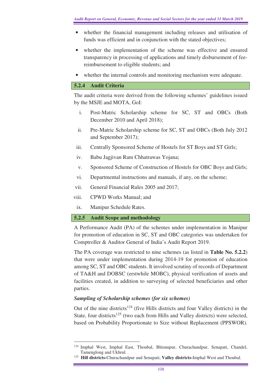- whether the financial management including releases and utilisation of funds was efficient and in conjunction with the stated objectives;
- whether the implementation of the scheme was effective and ensured transparency in processing of applications and timely disbursement of feereimbursement to eligible students; and
- whether the internal controls and monitoring mechanism were adequate.

### **5.2.4 Audit Criteria**

The audit criteria were derived from the following schemes' guidelines issued by the MSJE and MOTA, GoI:

- i. Post-Matric Scholarship scheme for SC, ST and OBCs (Both December 2010 and April 2018);
- ii. Pre-Matric Scholarship scheme for SC, ST and OBCs (Both July 2012 and September 2017);
- iii. Centrally Sponsored Scheme of Hostels for ST Boys and ST Girls;
- iv. Babu Jagjivan Ram Chhatrawas Yojana;
- v. Sponsored Scheme of Construction of Hostels for OBC Boys and Girls;
- vi. Departmental instructions and manuals, if any, on the scheme;
- vii. General Financial Rules 2005 and 2017;
- viii. CPWD Works Manual; and
- ix. Manipur Schedule Rates.

# **5.2.5 Audit Scope and methodology**

A Performance Audit (PA) of the schemes under implementation in Manipur for promotion of education in SC, ST and OBC categories was undertaken for Comptroller & Auditor General of India's Audit Report 2019.

The PA coverage was restricted to nine schemes (as listed in **Table No. 5.2.2**) that were under implementation during 2014-19 for promotion of education among SC, ST and OBC students. It involved scrutiny of records of Department of TA&H and DOBSC (erstwhile MOBC), physical verification of assets and facilities created, in addition to surveying of selected beneficiaries and other parties.

# *Sampling of Scholarship schemes (for six schemes)*

Out of the nine districts<sup>124</sup> (five Hills districts and four Valley districts) in the State, four districts<sup>125</sup> (two each from Hills and Valley districts) were selected, based on Probability Proportionate to Size without Replacement (PPSWOR).

 $\overline{a}$ <sup>124</sup> Imphal West, Imphal East, Thoubal, Bhisnupur, Churachandpur, Senapati, Chandel, Tamenglong and Ukhrul.

<sup>125</sup> **Hill districts-**Churachandpur and Senapati; **Valley districts-**Imphal West and Thoubal.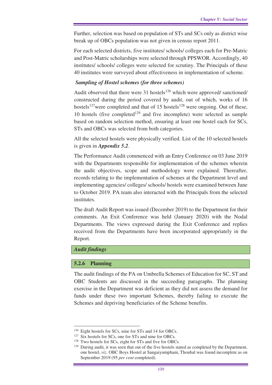Further, selection was based on population of STs and SCs only as district wise break up of OBCs population was not given in census report 2011.

For each selected districts, five institutes/ schools/ colleges each for Pre-Matric and Post-Matric scholarships were selected through PPSWOR. Accordingly, 40 institutes/ schools/ colleges were selected for scrutiny. The Principals of these 40 institutes were surveyed about effectiveness in implementation of scheme.

#### *Sampling of Hostel schemes (for three schemes)*

Audit observed that there were  $31$  hostels<sup>126</sup> which were approved/ sanctioned/ constructed during the period covered by audit, out of which, works of 16 hostels<sup>127</sup>were completed and that of 15 hostels<sup>128</sup> were ongoing. Out of these, 10 hostels (five completed<sup>129</sup> and five incomplete) were selected as sample based on random selection method, ensuring at least one hostel each for SCs, STs and OBCs was selected from both categories.

All the selected hostels were physically verified. List of the 10 selected hostels is given in *Appendix 5.2*.

The Performance Audit commenced with an Entry Conference on 03 June 2019 with the Departments responsible for implementation of the schemes wherein the audit objectives, scope and methodology were explained. Thereafter, records relating to the implementation of schemes at the Department level and implementing agencies/ colleges/ schools/ hostels were examined between June to October 2019. PA team also interacted with the Principals from the selected institutes.

The draft Audit Report was issued (December 2019) to the Department for their comments. An Exit Conference was held (January 2020) with the Nodal Departments. The views expressed during the Exit Conference and replies received from the Departments have been incorporated appropriately in the Report.

### *Audit findings*

 $\overline{a}$ 

#### **5.2.6 Planning**

The audit findings of the PA on Umbrella Schemes of Education for SC, ST and OBC Students are discussed in the succeeding paragraphs. The planning exercise in the Department was deficient as they did not assess the demand for funds under these two important Schemes, thereby failing to execute the Schemes and depriving beneficiaries of the Scheme benefits.

<sup>126</sup> Eight hostels for SCs, nine for STs and 14 for OBCs.

<sup>&</sup>lt;sup>127</sup> Six hostels for SCs, one for STs and nine for OBCs.

<sup>128</sup> Two hostels for SCs, eight for STs and five for OBCs.

<sup>&</sup>lt;sup>129</sup> During audit, it was seen that out of the five hostels stated as completed by the Department, one hostel, *viz*. OBC Boys Hostel at Sangaiyumpham, Thoubal was found incomplete as on September 2019 (95 *per cent* completed).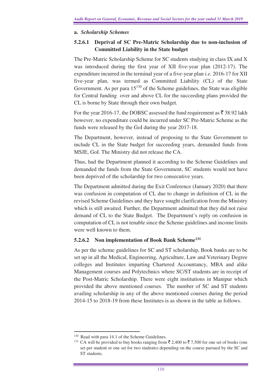# **a.** *Scholarship Schemes*

# **5.2.6.1 Deprival of SC Pre-Matric Scholarship due to non-inclusion of Committed Liability in the State budget**

The Pre-Matric Scholarship Scheme for SC students studying in class IX and X was introduced during the first year of XII five-year plan (2012-17). The expenditure incurred in the terminal year of a five-year plan *i.e.* 2016-17 for XII five-year plan, was termed as Committed Liability (CL) of the State Government. As per para  $15^{130}$  of the Scheme guidelines, the State was eligible for Central funding over and above CL for the succeeding plans provided the CL is borne by State through their own budget.

For the year 2016-17, the DOBSC assessed the fund requirement as  $\bar{z}$  38.92 lakh however, no expenditure could be incurred under SC Pre-Matric Scheme as the funds were released by the GoI during the year 2017-18.

The Department, however, instead of proposing to the State Government to include CL in the State budget for succeeding years, demanded funds from MSJE, GoI. The Ministry did not release the CA.

Thus, had the Department planned it according to the Scheme Guidelines and demanded the funds from the State Government, SC students would not have been deprived of the scholarship for two consecutive years.

The Department admitted during the Exit Conference (January 2020) that there was confusion in computation of CL due to change in definition of CL in the revised Scheme Guidelines and they have sought clarification from the Ministry which is still awaited. Further, the Department admitted that they did not raise demand of CL to the State Budget. The Department's reply on confusion in computation of CL is not tenable since the Scheme guidelines and income limits were well known to them.

# **5.2.6.2 Non implementation of Book Bank Scheme<sup>131</sup>**

As per the scheme guidelines for SC and ST scholarship, Book banks are to be set up in all the Medical, Engineering, Agriculture, Law and Veterinary Degree colleges and Institutes imparting Chartered Accountancy, MBA and alike Management courses and Polytechnics where SC/ST students are in receipt of the Post-Matric Scholarship. There were eight institutions in Manipur which provided the above mentioned courses. The number of SC and ST students availing scholarship in any of the above mentioned courses during the period 2014-15 to 2018-19 from these Institutes is as shown in the table as follows.

<sup>&</sup>lt;sup>130</sup> Read with para 14.1 of the Scheme Guidelines.

<sup>&</sup>lt;sup>131</sup> CA will be provided to buy books ranging from  $\overline{5}$  2,400 to  $\overline{5}$  7,500 for one set of books (one set per student or one set for two students) depending on the course pursued by the SC and ST students.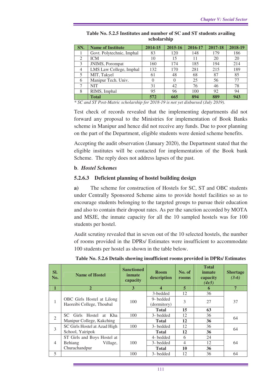| SN.            | <b>Name of Institute</b>  | 2014-15 | 2015-16 | 2016-17 | 2017-18 | 2018-19 |
|----------------|---------------------------|---------|---------|---------|---------|---------|
|                | Govt. Polytechnic, Imphal | 83      | 120     | 148     | 179     | 186     |
| $\overline{2}$ | <b>ICM</b>                | 10      | 15      | 11      | 20      | 20      |
| 3              | JNIMS, Porompat           | 160     | 174     | 185     | 194     | 214     |
| $\overline{4}$ | LMS Law College, Imphal   | 132     | 170     | 281     | 215     | 189     |
| 5              | MIT, Takyel               | 61      | 48      | 68      | 87      | 85      |
| 6              | Manipur Tech. Univ.       | 0       |         | 25      | 56      | 77      |
|                | <b>NIT</b>                | 31      | 42      | 76      | 46      | 78      |
| 8              | RIMS, Imphal              | 95      | 96      | 100     | 92      | 94      |
|                | <b>Total</b>              | 572     | 665     | 894     | 889     | 943     |

|             |  | Table No. 5.2.5 Institutes and number of SC and ST students availing |  |  |  |  |  |  |  |  |  |
|-------------|--|----------------------------------------------------------------------|--|--|--|--|--|--|--|--|--|
| scholarship |  |                                                                      |  |  |  |  |  |  |  |  |  |

*\* SC and ST Post-Matric scholarship for 2018-19 is not yet disbursed (July 2019).* 

Test check of records revealed that the implementing departments did not forward any proposal to the Ministries for implementation of Book Banks scheme in Manipur and hence did not receive any funds. Due to poor planning on the part of the Department, eligible students were denied scheme benefits.

Accepting the audit observation (January 2020), the Department stated that the eligible institutes will be contacted for implementation of the Book bank Scheme. The reply does not address lapses of the past.

### **b**. *Hostel Schemes*

### **5.2.6.3 Deficient planning of hostel building design**

**a)** The scheme for construction of Hostels for SC, ST and OBC students under Centrally Sponsored Scheme aims to provide hostel facilities so as to encourage students belonging to the targeted groups to pursue their education and also to contain their dropout rates. As per the sanction accorded by MOTA and MSJE, the inmate capacity for all the 10 sampled hostels was for 100 students per hostel.

Audit scrutiny revealed that in seven out of the 10 selected hostels, the number of rooms provided in the DPRs/ Estimates were insufficient to accommodate 100 students per hostel as shown in the table below.

| SI.<br>No.     | <b>Name of Hostel</b>             | <b>Sanctioned</b><br>inmate<br>capacity | <b>Room</b><br>description | No. of<br>rooms | <b>Total</b><br>inmate<br>capacity<br>(4x5) | <b>Shortage</b><br>$(3-6)$ |
|----------------|-----------------------------------|-----------------------------------------|----------------------------|-----------------|---------------------------------------------|----------------------------|
|                | $\mathbf{2}$                      | 3                                       | 4                          | 5               | 6                                           | 7                          |
|                |                                   |                                         | 3-bedded                   | 12              | 36                                          |                            |
| 1              | <b>OBC</b> Girls Hostel at Lilong | 100                                     | 9- bedded                  | 3               | 27                                          | 37                         |
|                | Haoreibi College, Thoubal         |                                         | (dormitory)                |                 |                                             |                            |
|                |                                   |                                         | <b>Total</b>               | 15              | 63                                          |                            |
| $\overline{2}$ | SC =<br>Girls Hostel at Kha       | 100                                     | 3- bedded                  | 12              | 36                                          |                            |
|                | Manipur College, Kakching         |                                         | <b>Total</b>               | 12              | 36                                          | 64                         |
| 3              | SC Girls Hostel at Azad High      | 100                                     | 3- bedded                  | 12              | 36                                          |                            |
|                | School, Yairipok                  |                                         | <b>Total</b>               | 12              | 36                                          | 64                         |
|                | ST Girls and Boys Hostel at       |                                         | 4-bedded                   | 6               | 24                                          |                            |
| $\overline{4}$ | Village,<br><b>Behiang</b>        | 100                                     | 3-bedded                   | $\overline{4}$  | 12                                          | 64                         |
|                | Churachandpur                     |                                         | <b>Total</b>               | 10              | 36                                          |                            |
| 5              |                                   | 100                                     | 3- bedded                  | 12              | 36                                          | 64                         |

**Table No. 5.2.6 Details showing insufficient rooms provided in DPRs/ Estimates**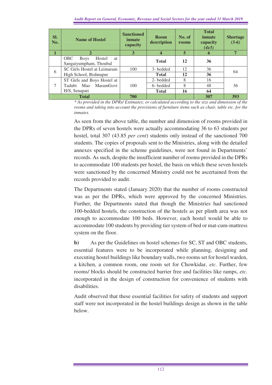| SI.<br>No. | <b>Name of Hostel</b>                                                      | <b>Sanctioned</b><br>inmate<br>capacity | <b>Room</b><br>description | No. of<br>rooms | <b>Total</b><br>inmate<br>capacity<br>(4x5) | <b>Shortage</b><br>$(3-6)$ |
|------------|----------------------------------------------------------------------------|-----------------------------------------|----------------------------|-----------------|---------------------------------------------|----------------------------|
|            |                                                                            | 3                                       | 4                          | 5               | 6                                           | 7                          |
|            | <b>OBC</b><br>Hostel<br><b>Boys</b><br><b>at</b><br>Sangaiyumpham, Thoubal |                                         | <b>Total</b>               | 12              | 36                                          |                            |
| 6          | SC Girls Hostel at Leimaram                                                | 100                                     | 3- bedded                  | 12              | 36                                          | 64                         |
|            | High School, Bishnupur                                                     |                                         | <b>Total</b>               | 12              | 36                                          |                            |
|            | ST Girls and Boys Hostel at                                                |                                         | 2-bedded                   | 8               | 16                                          |                            |
| 7          | <b>MaramGovt</b><br>Tadubi Mao                                             | 100                                     | 6-bedded                   | 8               | 48                                          | 36                         |
|            | H/S, Senapati                                                              |                                         | <b>Total</b>               | 16              | 64                                          |                            |
|            | <b>Total</b>                                                               | 700                                     |                            |                 | 307                                         | 393                        |

*\* As provided in the DPRs/ Estimates; or calculated according to the size and dimension of the rooms and taking into account the provisions of furniture items such as chair, table etc. for the inmates.* 

As seen from the above table, the number and dimension of rooms provided in the DPRs of seven hostels were actually accommodating 36 to 63 students per hostel, total 307 (43.85 *per cent*) students only instead of the sanctioned 700 students. The copies of proposals sent to the Ministries, along with the detailed annexes specified in the scheme guidelines, were not found in Departments' records. As such, despite the insufficient number of rooms provided in the DPRs to accommodate 100 students per hostel, the basis on which these seven hostels were sanctioned by the concerned Ministry could not be ascertained from the records provided to audit.

The Departments stated (January 2020) that the number of rooms constructed was as per the DPRs, which were approved by the concerned Ministries. Further, the Departments stated that though the Ministries had sanctioned 100-bedded hostels, the construction of the hostels as per plinth area was not enough to accommodate 100 beds. However, each hostel would be able to accommodate 100 students by providing tier system of bed or mat-cum-mattress system on the floor.

**b)** As per the Guidelines on hostel schemes for SC, ST and OBC students, essential features were to be incorporated while planning, designing and executing hostel buildings like boundary walls, two rooms set for hostel warden, a kitchen, a common room, one room set for Chowkidar, *etc.* Further, few rooms/ blocks should be constructed barrier free and facilities like ramps, *etc.* incorporated in the design of construction for convenience of students with disabilities.

Audit observed that these essential facilities for safety of students and support staff were not incorporated in the hostel buildings design as shown in the table below.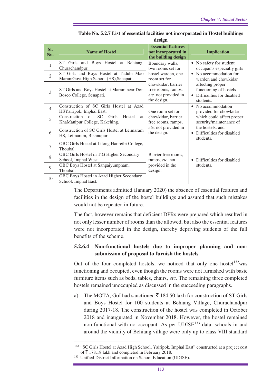| Sl.<br>No.     | <b>Name of Hostel</b>                                                                          | <b>Essential features</b><br>not incorporated in<br>the building design         | <b>Implication</b>                                                                   |
|----------------|------------------------------------------------------------------------------------------------|---------------------------------------------------------------------------------|--------------------------------------------------------------------------------------|
| 1              | ST Girls and Boys Hostel at Behiang,<br>Churachandpur.                                         | Boundary walls,<br>two rooms set for                                            | • No safety for student<br>occupants especially girls                                |
| $\mathfrak{2}$ | ST Girls and Boys Hostel at Tadubi Mao<br>MaramGovt High School (HS), Senapati.                | hostel warden, one<br>room set for                                              | • No accommodation for<br>warden and chowkidar                                       |
| 3              | ST Girls and Boys Hostel at Maram near Don<br>Bosco College, Senapati.                         | chowkidar, barrier<br>free rooms, ramps,<br>etc. not provided in<br>the design. | affecting proper<br>functioning of hostels<br>Difficulties for disabled<br>students. |
| $\overline{4}$ | Construction of SC Girls Hostel at Azad<br>HSYairipok, Imphal East.                            | One room set for                                                                | • No accommodation<br>provided for chowkidar                                         |
| 5              | Construction of SC<br><b>Girls</b><br>Hostel<br><sub>at</sub><br>KhaManipur College, Kakching. | chowkidar, barrier<br>free rooms, ramps,                                        | which could affect proper<br>security/maintenance of                                 |
| 6              | Construction of SC Girls Hostel at Leimaram<br>HS, Leimaram, Bishnupur.                        | etc. not provided in<br>the design.                                             | the hostels; and<br>Difficulties for disabled<br>$\bullet$<br>students.              |
| $\overline{7}$ | OBC Girls Hostel at Lilong Haoreibi College,<br>Thoubal.                                       |                                                                                 |                                                                                      |
| 8              | OBC Girls Hostel in T.G Higher Secondary<br>School, Imphal West.                               | Barrier free rooms.<br>ramps, etc. not                                          | Difficulties for disabled<br>$\bullet$                                               |
| 9              | OBC Boys Hostel at Sangaiyumpham,<br>Thoubal.                                                  | provided in the<br>design.                                                      | students.                                                                            |
| 10             | OBC Boys Hostel in Azad Higher Secondary<br>School, Imphal East.                               |                                                                                 |                                                                                      |

**Table No. 5.2.7 List of essential facilities not incorporated in Hostel buildings design** 

The Departments admitted (January 2020) the absence of essential features and facilities in the design of the hostel buildings and assured that such mistakes would not be repeated in future.

The fact, however remains that deficient DPRs were prepared which resulted in not only lesser number of rooms than the allowed, but also the essential features were not incorporated in the design, thereby depriving students of the full benefits of the scheme.

# **5.2.6.4 Non-functional hostels due to improper planning and nonsubmission of proposal to furnish the hostels**

Out of the four completed hostels, we noticed that only one hostel<sup>132</sup>was functioning and occupied, even though the rooms were not furnished with basic furniture items such as beds, tables, chairs, *etc.* The remaining three completed hostels remained unoccupied as discussed in the succeeding paragraphs.

a) The MOTA, GoI had sanctioned  $\bar{\bar{\tau}}$  184.50 lakh for construction of ST Girls and Boys Hostel for 100 students at Behiang Village, Churachandpur during 2017-18. The construction of the hostel was completed in October 2018 and inaugurated in November 2018. However, the hostel remained non-functional with no occupant. As per  $UDISE<sup>133</sup>$  data, schools in and around the vicinity of Behiang village were only up to class VIII standard

<sup>&</sup>lt;sup>132</sup> "SC Girls Hostel at Azad High School, Yairipok, Imphal East" constructed at a project cost of  $\bar{\tau}$  178.18 lakh and completed in February 2018.

<sup>133</sup> Unified District Information on School Education (UDISE).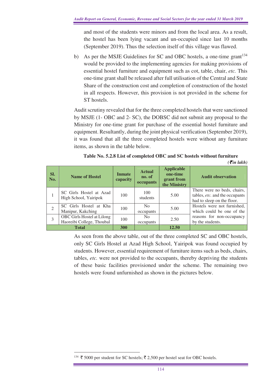and most of the students were minors and from the local area. As a result, the hostel has been lying vacant and un-occupied since last 10 months (September 2019). Thus the selection itself of this village was flawed.

b) As per the MSJE Guidelines for SC and OBC hostels, a one-time grant $134$ would be provided to the implementing agencies for making provisions of essential hostel furniture and equipment such as cot, table, chair, *etc.* This one-time grant shall be released after full utilisation of the Central and State Share of the construction cost and completion of construction of the hostel in all respects. However, this provision is not provided in the scheme for ST hostels.

Audit scrutiny revealed that for the three completed hostels that were sanctioned by MSJE (1- OBC and 2- SC), the DOBSC did not submit any proposal to the Ministry for one-time grant for purchase of the essential hostel furniture and equipment. Resultantly, during the joint physical verification (September 2019), it was found that all the three completed hostels were without any furniture items, as shown in the table below.

| SI.<br>No. | <b>Name of Hostel</b>                                   | <b>Inmate</b><br>capacity | <b>Actual</b><br>no. of<br>occupants | <b>Applicable</b><br>one-time<br>grant from<br>the Ministry | <b>Audit observation</b>                                                                    |
|------------|---------------------------------------------------------|---------------------------|--------------------------------------|-------------------------------------------------------------|---------------------------------------------------------------------------------------------|
|            | SC Girls Hostel at Azad<br>High School, Yairipok        | 100                       | 100<br>students                      | 5.00                                                        | There were no beds, chairs,<br>tables, etc. and the occupants<br>had to sleep on the floor. |
|            | SC Girls Hostel at Kha<br>Manipur, Kakching             | 100                       | N <sub>0</sub><br>occupants          | 5.00                                                        | Hostels were not furnished,<br>which could be one of the                                    |
| 3          | OBC Girls Hostel at Lilong<br>Haoreibi College, Thoubal | 100                       | N <sub>0</sub><br>occupants          | 2.50                                                        | reasons for non-occupancy<br>by the students.                                               |
|            | <b>Total</b>                                            | 300                       |                                      | 12.50                                                       |                                                                                             |

| Table No. 5.2.8 List of completed OBC and SC hostels without furniture |
|------------------------------------------------------------------------|
|------------------------------------------------------------------------|

 $(\vec{\xi}$ *in lakh*)

As seen from the above table, out of the three completed SC and OBC hostels, only SC Girls Hostel at Azad High School, Yairipok was found occupied by students. However, essential requirement of furniture items such as beds, chairs, tables, *etc.* were not provided to the occupants, thereby depriving the students of these basic facilities provisioned under the scheme. The remaining two hostels were found unfurnished as shown in the pictures below.

 $134 \text{ } \xi$  5000 per student for SC hostels;  $\overline{\xi}$  2,500 per hostel seat for OBC hostels.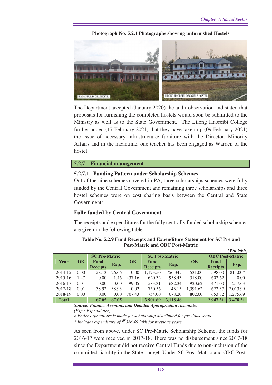**Photograph No. 5.2.1 Photographs showing unfurnished Hostels** 



The Department accepted (January 2020) the audit observation and stated that proposals for furnishing the completed hostels would soon be submitted to the Ministry as well as to the State Government. The Lilong Haoreibi College further added (17 February 2021) that they have taken up (09 February 2021) the issue of necessary infrastructure/ furniture with the Director, Minority Affairs and in the meantime, one teacher has been engaged as Warden of the hostel.

#### **5.2.7 Financial management**

### **5.2.7.1 Funding Pattern under Scholarship Schemes**

Out of the nine schemes covered in PA, three scholarships schemes were fully funded by the Central Government and remaining three scholarships and three hostel schemes were on cost sharing basis between the Central and State Governments.

### **Fully funded by Central Government**

The receipts and expenditures for the fully centrally funded scholarship schemes are given in the following table.

|              |           | <b>SC Pre-Matric</b>    |       |                 | <b>SC Post-Matric</b>   |          |           | <b>OBC</b> Post-Matric         |          |
|--------------|-----------|-------------------------|-------|-----------------|-------------------------|----------|-----------|--------------------------------|----------|
| Year         | <b>OB</b> | Fund<br><b>Receipts</b> | Exp.  | $\overline{OB}$ | Fund<br><b>Receipts</b> | Exp.     | <b>OB</b> | <b>Fund</b><br><b>Receipts</b> | Exp.     |
| 2014-15      | 0.00      | 28.13                   | 26.66 | 0.00            | 1,193.50                | 756.34#  | 531.00    | 598.00                         | 811.00*  |
| $2015 - 16$  | 1.47      | 0.00                    | 1.46  | 437.16          | 620.32                  | 958.43   | 318.00    | 602.62                         | 0.00     |
| 2016-17      | 0.01      | 0.00                    | 0.00  | 99.05           | 583.31                  | 682.34   | 920.62    | 471.00                         | 217.63   |
| 2017-18      | 0.01      | 38.92                   | 38.93 | 0.02            | 750.56                  | 43.15    | 1.391.62  | 622.37                         | 2,013.99 |
| 2018-19      | 0.00      | 0.00                    | 0.00  | 707.43          | 754.00                  | 678.20   | 802.00    | 653.32                         | 1,275.69 |
| <b>Total</b> |           | 67.05                   | 67.05 |                 | 3,901.69                | 3.118.46 |           | 2,947.31                       | 3,478.31 |

**Table No. 5.2.9 Fund Receipts and Expenditure Statement for SC Pre and Post-Matric and OBC Post-Matric**   $(\mathcal{F}$ *in lakh)* 

*Source: Finance Accounts and Detailed Appropriation Accounts. (Exp.: Expenditure)* 

*# Entire expenditure is made for scholarship distributed for previous years. \* Includes expenditure of* ` *386.49 lakh for previous years.* 

As seen from above, under SC Pre-Matric Scholarship Scheme, the funds for 2016-17 were received in 2017-18. There was no disbursement since 2017-18 since the Department did not receive Central Funds due to non-inclusion of the committed liability in the State budget. Under SC Post-Matric and OBC Post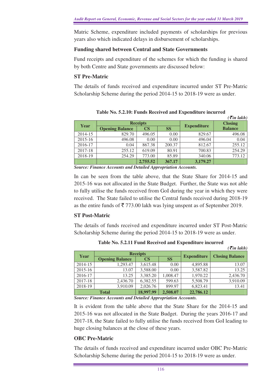Matric Scheme, expenditure included payments of scholarships for previous years also which indicated delays in disbursement of scholarships.

### **Funding shared between Central and State Governments**

Fund receipts and expenditure of the schemes for which the funding is shared by both Centre and State governments are discussed below:

### **ST Pre-Matric**

The details of funds received and expenditure incurred under ST Pre-Matric Scholarship Scheme during the period 2014-15 to 2018-19 were as under.

|         | $\left( \bar{\tau}$ in lakh) |                         |           |                    |                |  |  |  |  |  |  |  |
|---------|------------------------------|-------------------------|-----------|--------------------|----------------|--|--|--|--|--|--|--|
| Year    |                              | <b>Receipts</b>         |           |                    | <b>Closing</b> |  |  |  |  |  |  |  |
|         | <b>Opening Balance</b>       | $\overline{\mathbf{C}}$ | <b>SS</b> | <b>Expenditure</b> | <b>Balance</b> |  |  |  |  |  |  |  |
| 2014-15 | 829.70                       | 496.05                  | 0.00      | 829.67             | 496.08         |  |  |  |  |  |  |  |
| 2015-16 | 496.08                       | 0.00                    | 0.00      | 496.04             | 0.04           |  |  |  |  |  |  |  |
| 2016-17 | 0.04                         | 867.38                  | 200.37    | 812.67             | 255.12         |  |  |  |  |  |  |  |
| 2017-18 | 255.12                       | 619.09                  | 80.91     | 700.83             | 254.29         |  |  |  |  |  |  |  |
| 2018-19 | 254.29                       | 773.00                  | 85.89     | 340.06             | 773.12         |  |  |  |  |  |  |  |
|         |                              | 2,755.52                | 367.17    | 3,179.27           |                |  |  |  |  |  |  |  |

**Table No. 5.2.10: Funds Received and Expenditure incurred** 

*Source: Finance Accounts and Detailed Appropriation Accounts.* 

In can be seen from the table above, that the State Share for 2014-15 and 2015-16 was not allocated in the State Budget. Further, the State was not able to fully utilise the funds received from GoI during the year in which they were received. The State failed to utilise the Central funds received during 2018-19 as the entire funds of  $\bar{\tau}$  773.00 lakh was lying unspent as of September 2019.

# **ST Post-Matric**

The details of funds received and expenditure incurred under ST Post-Matric Scholarship Scheme during the period 2014-15 to 2018-19 were as under.

|         | $\left(\bar{\vec{z}}$ in lakh) |                 |           |                    |                        |
|---------|--------------------------------|-----------------|-----------|--------------------|------------------------|
| Year    |                                | <b>Receipts</b> |           | <b>Expenditure</b> | <b>Closing Balance</b> |
|         | <b>Opening Balance</b>         | $\mathbf{CS}$   | <b>SS</b> |                    |                        |
| 2014-15 | 1,293.47                       | 3,615.48        | 0.00      | 4,895.88           | 13.07                  |
| 2015-16 | 13.07                          | 3,588.00        | 0.00      | 3,587.82           | 13.25                  |
| 2016-17 | 13.25                          | 3,385.20        | 1.008.47  | 1,970.22           | 2,436.70               |
| 2017-18 | 2,436.70                       | 6,382.55        | 599.63    | 5,508.79           | 3,910.09               |
| 2018-19 | 3,910.09                       | 2,026.76        | 899.97    | 6,823.41           | 13.41                  |
|         | <b>Total</b>                   | 18,997.99       | 2,508.07  | 22,786.12          |                        |

**Table No. 5.2.11 Fund Received and Expenditure incurred** 

*Source: Finance Accounts and Detailed Appropriation Accounts.* 

It is evident from the table above that the State Share for the 2014-15 and 2015-16 was not allocated in the State Budget. During the years 2016-17 and 2017-18, the State failed to fully utilise the funds received from GoI leading to huge closing balances at the close of these years.

### **OBC Pre-Matric**

The details of funds received and expenditure incurred under OBC Pre-Matric Scholarship Scheme during the period 2014-15 to 2018-19 were as under.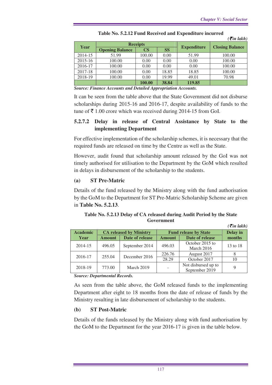|         |                        |                        |           |                    | $\left( \bar{\xi}$ in lakh) |
|---------|------------------------|------------------------|-----------|--------------------|-----------------------------|
|         |                        | <b>Receipts</b>        |           |                    |                             |
| Year    | <b>Opening Balance</b> | $\overline{\text{CS}}$ | <b>SS</b> | <b>Expenditure</b> | <b>Closing Balance</b>      |
| 2014-15 | 51.99                  | 100.00                 | 0.00      | 51.99              | 100.00                      |
| 2015-16 | 100.00                 | 0.00                   | 0.00      | 0.00               | 100.00                      |
| 2016-17 | 100.00                 | 0.00                   | 0.00      | 0.00               | 100.00                      |
| 2017-18 | 100.00                 | 0.00                   | 18.85     | 18.85              | 100.00                      |
| 2018-19 | 100.00                 | 0.00                   | 19.99     | 49.01              | 70.98                       |
|         |                        | 100.00                 | 38.84     | 119.85             |                             |

**Table No. 5.2.12 Fund Received and Expenditure incurred** 

*Source: Finance Accounts and Detailed Appropriation Accounts.*

It can be seen from the table above that the State Government did not disburse scholarships during 2015-16 and 2016-17, despite availability of funds to the tune of  $\bar{\tau}$  1.00 crore which was received during 2014-15 from GoI.

### **5.2.7.2 Delay in release of Central Assistance by State to the implementing Department**

For effective implementation of the scholarship schemes, it is necessary that the required funds are released on time by the Centre as well as the State.

However, audit found that scholarship amount released by the GoI was not timely authorised for utilisation to the Department by the GoM which resulted in delays in disbursement of the scholarship to the students.

### **(a) ST Pre-Matric**

Details of the fund released by the Ministry along with the fund authorisation by the GoM to the Department for ST Pre-Matric Scholarship Scheme are given in **Table No. 5.2.13**.

**Table No. 5.2.13 Delay of CA released during Audit Period by the State Government**   $(1.11)$ 

|                 |               |                                |                              |                     | $\langle$ cun takn $\rangle$ |  |
|-----------------|---------------|--------------------------------|------------------------------|---------------------|------------------------------|--|
| <b>Academic</b> |               | <b>CA released by Ministry</b> | <b>Fund release by State</b> | Delay in            |                              |  |
| Year            | <b>Amount</b> | Date of release                | <b>Amount</b>                | Date of release     | months                       |  |
| 2014-15         | 496.05        | September 2014                 | 496.03                       | October 2015 to     | 13 to 18                     |  |
|                 |               |                                |                              | March 2016          |                              |  |
| 2016-17         | 255.04        | December 2016                  | 226.76                       | August 2017         |                              |  |
|                 |               |                                | 28.29                        | October 2017        | 10                           |  |
| 2018-19         |               | March 2019                     |                              | Not disbursed up to |                              |  |
|                 | 773.00        |                                |                              | September 2019      |                              |  |

*Source: Departmental Records.* 

As seen from the table above, the GoM released funds to the implementing Department after eight to 18 months from the date of release of funds by the Ministry resulting in late disbursement of scholarship to the students.

### **(b) ST Post-Matric**

Details of the funds released by the Ministry along with fund authorisation by the GoM to the Department for the year 2016-17 is given in the table below.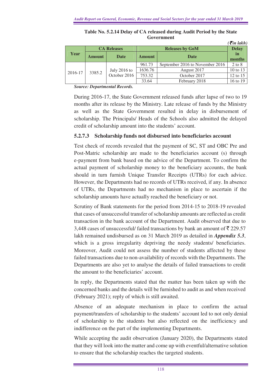|         |               | <b>CA Releases</b>             |         | $\mathbf{v}$ <i>u</i> $\mathbf{u}$<br><b>Delay</b> |            |  |
|---------|---------------|--------------------------------|---------|----------------------------------------------------|------------|--|
| Year    | <b>Amount</b> | Date                           |         | <b>Date</b><br><b>Amount</b>                       |            |  |
|         | 3385.2        |                                | 961.73  | September 2016 to November 2016                    | $2$ to $8$ |  |
| 2016-17 |               | July $2016$ to<br>October 2016 | 1636.76 | August 2017                                        | 10 to 13   |  |
|         |               |                                | 753.32  | October 2017                                       | 12 to 15   |  |
|         |               |                                | 33.64   | February 2018                                      | 16 to 19   |  |

**Table No. 5.2.14 Delay of CA released during Audit Period by the State Government**   $(\vec{r}$  in lakh)

*Source: Departmental Records.* 

During 2016-17, the State Government released funds after lapse of two to 19 months after its release by the Ministry. Late release of funds by the Ministry as well as the State Government resulted in delay in disbursement of scholarship. The Principals/ Heads of the Schools also admitted the delayed credit of scholarship amount into the students' account.

### **5.2.7.3 Scholarship funds not disbursed into beneficiaries account**

Test check of records revealed that the payment of SC, ST and OBC Pre and Post-Matric scholarship are made to the beneficiaries account (s) through e-payment from bank based on the advice of the Department. To confirm the actual payment of scholarship money to the beneficiary accounts, the bank should in turn furnish Unique Transfer Receipts (UTRs) for each advice. However, the Departments had no records of UTRs received, if any. In absence of UTRs, the Departments had no mechanism in place to ascertain if the scholarship amounts have actually reached the beneficiary or not.

Scrutiny of Bank statements for the period from 2014-15 to 2018-19 revealed that cases of unsuccessful transfer of scholarship amounts are reflected as credit transaction in the bank account of the Department. Audit observed that due to 3,448 cases of unsuccessful/ failed transactions by bank an amount of  $\bar{\tau}$  229.57 lakh remained undisbursed as on 31 March 2019 as detailed in *Appendix 5.3*, which is a gross irregularity depriving the needy students/ beneficiaries. Moreover, Audit could not assess the number of students affected by these failed transactions due to non-availability of records with the Departments. The Departments are also yet to analyse the details of failed transactions to credit the amount to the beneficiaries' account.

In reply, the Departments stated that the matter has been taken up with the concerned banks and the details will be furnished to audit as and when received (February 2021); reply of which is still awaited.

Absence of an adequate mechanism in place to confirm the actual payment/transfers of scholarship to the students' account led to not only denial of scholarship to the students but also reflected on the inefficiency and indifference on the part of the implementing Departments.

While accepting the audit observation (January 2020), the Departments stated that they will look into the matter and come up with eventful/alternative solution to ensure that the scholarship reaches the targeted students.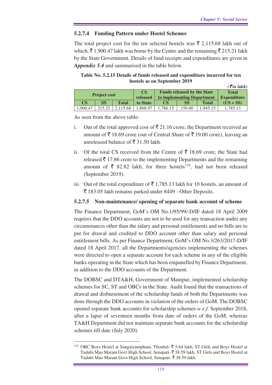### **5.2.7.4 Funding Pattern under Hostel Schemes**

The total project cost for the ten selected hostels was  $\bar{\xi}$  2,115.68 lakh out of which,  $\bar{\xi}$  1,900.47 lakh was borne by the Centre and the remaining  $\bar{\xi}$  215.21 lakh by the State Government. Details of fund receipts and expenditures are given in *Appendix 5.4* and summarised in the table below.

**Table No. 5.2.15 Details of funds released and expenditure incurred for ten hostels as on September 2019** 

|                     |        |              |          |         |                                    |              | $\left(\bar{\tau}$ in lakh) |
|---------------------|--------|--------------|----------|---------|------------------------------------|--------------|-----------------------------|
|                     |        |              | CS       |         | <b>Funds released by the State</b> |              | <b>Total</b>                |
| <b>Project cost</b> |        |              | released |         | to implementing Department         |              | <b>Expenditure</b>          |
| CS                  | SS.    | <b>Total</b> | to State | CS      | SS                                 | <b>Total</b> | $(CS + SS)$                 |
| 1,900.47            | 215.21 | 2.115.68     | 1.868.97 | .786.15 | 159.00                             | .945.15      | 1.785.13                    |

As seen from the above table:

- i. Out of the total approved cost of  $\bar{\bar{\mathcal{E}}}$  21.16 crore, the Department received an amount of  $\bar{\tau}$  18.69 crore (out of Central Share of  $\bar{\tau}$  19.00 crore), leaving an unreleased balance of  $\bar{\bar{\xi}}$  31.50 lakh.
- ii. Of the total CS received from the Centre of  $\bar{\tau}$  18.69 crore, the State had released  $\bar{\tau}$  17.86 crore to the implementing Departments and the remaining amount of  $\bar{\xi}$  82.82 lakh, for three hostels<sup>135</sup>, had not been released (September 2019).
- iii. Out of the total expenditure of  $\bar{\bar{\tau}}$  1,785.13 lakh for 10 hostels, an amount of  $\bar{\xi}$  183.05 lakh remains parked under 8449 - Other Deposits.

### **5.2.7.5 Non-maintenance/ opening of separate bank account of scheme**

The Finance Department, GoM's OM No.1/95/99/-D/IF dated 18 April 2009 requires that the DDO accounts are not to be used for any transaction under any circumstances other than the salary and personal entitlements and no bills are to put for drawal and credited to DDO account other than salary and personal entitlement bills. As per Finance Department, GoM's OM No.3/263/2017-D/IF dated 18 April 2017, all the Departments/agencies implementing the schemes were directed to open a separate account for each scheme in any of the eligible banks operating in the State which has been empanelled by Finance Department, in addition to the DDO accounts of the Department.

The DOBSC and DTA&H, Government of Manipur, implemented scholarship schemes for SC, ST and OBCs in the State. Audit found that the transactions of drawal and disbursement of the scholarship funds of both the Departments was done through the DDO accounts in violation of the orders of GoM. The DOBSC opened separate bank accounts for scholarship schemes *w.e.f.* September 2018, after a lapse of seventeen months from date of orders of the GoM, whereas TA&H Department did not maintain separate bank accounts for the scholarship schemes till date (July 2020).

 $\overline{a}$ <sup>135</sup> OBC Boys Hostel at Sangaiyumpham, Thoubal-  $\bar{z}$  5.64 lakh, ST Girls and Boys Hostel at Tadubi Mao Maram Govt High School, Senapati- ₹38.59 lakh, ST Girls and Boys Hostel at Tadubi Mao Maram Govt High School, Senapati- ₹ 38.59 lakh.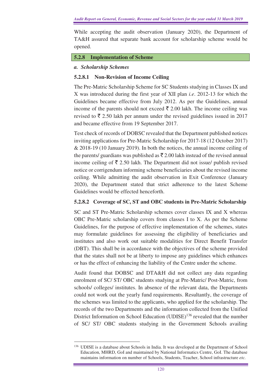While accepting the audit observation (January 2020), the Department of TA&H assured that separate bank account for scholarship scheme would be opened.

### **5.2.8 Implementation of Scheme**

### *a. Scholarship Schemes*

### **5.2.8.1 Non-Revision of Income Ceiling**

The Pre-Matric Scholarship Scheme for SC Students studying in Classes IX and X was introduced during the first year of XII plan *i.e*. 2012-13 for which the Guidelines became effective from July 2012. As per the Guidelines, annual income of the parents should not exceed  $\bar{\bar{\zeta}}$  2.00 lakh. The income ceiling was revised to  $\bar{\xi}$  2.50 lakh per annum under the revised guidelines issued in 2017 and became effective from 19 September 2017.

Test check of records of DOBSC revealed that the Department published notices inviting applications for Pre-Matric Scholarship for 2017-18 (12 October 2017) & 2018-19 (10 January 2019). In both the notices, the annual income ceiling of the parents/ guardians was published as  $\bar{\tau}$  2.00 lakh instead of the revised annual income ceiling of  $\bar{\tau}$  2.50 lakh. The Department did not issue/ publish revised notice or corrigendum informing scheme beneficiaries about the revised income ceiling. While admitting the audit observation in Exit Conference (January 2020), the Department stated that strict adherence to the latest Scheme Guidelines would be effected henceforth.

# **5.2.8.2 Coverage of SC, ST and OBC students in Pre-Matric Scholarship**

SC and ST Pre-Matric Scholarship schemes cover classes IX and X whereas OBC Pre-Matric scholarship covers from classes I to X. As per the Scheme Guidelines, for the purpose of effective implementation of the schemes, states may formulate guidelines for assessing the eligibility of beneficiaries and institutes and also work out suitable modalities for Direct Benefit Transfer (DBT). This shall be in accordance with the objectives of the scheme provided that the states shall not be at liberty to impose any guidelines which enhances or has the effect of enhancing the liability of the Centre under the scheme.

Audit found that DOBSC and DTA&H did not collect any data regarding enrolment of SC/ ST/ OBC students studying at Pre-Matric/ Post-Matric, from schools/ colleges/ institutes. In absence of the relevant data, the Departments could not work out the yearly fund requirements. Resultantly, the coverage of the schemes was limited to the applicants, who applied for the scholarship. The records of the two Departments and the information collected from the Unified District Information on School Education (UDISE)<sup>136</sup> revealed that the number of SC/ ST/ OBC students studying in the Government Schools availing

 $\overline{a}$ <sup>136</sup> UDISE is a database about Schools in India. It was developed at the Department of School Education, MHRD, GoI and maintained by National Informatics Centre, GoI. The database maintains information on number of Schools, Students, Teacher, School infrastructure *etc.*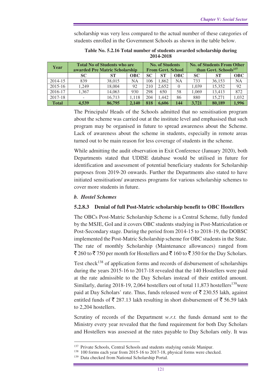scholarship was very less compared to the actual number of these categories of students enrolled in the Government Schools as shown in the table below.

| Year         | <b>Total No of Students who are</b><br>awarded Pre Matric Scholarship |           |            | <b>No. of Students</b><br><b>From Govt. School</b> |           |            | <b>No. of Students From Other</b><br>than Govt. Schools <sup>137</sup> |           |            |
|--------------|-----------------------------------------------------------------------|-----------|------------|----------------------------------------------------|-----------|------------|------------------------------------------------------------------------|-----------|------------|
|              | SC.                                                                   | <b>ST</b> | <b>OBC</b> | SC.                                                | <b>ST</b> | <b>OBC</b> | <b>SC</b>                                                              | <b>ST</b> | <b>OBC</b> |
| 2014-15      | 839                                                                   | 38,015    | <b>NA</b>  | 106                                                | 1.862     | <b>NA</b>  | 733                                                                    | 36.153    | <b>NA</b>  |
| 2015-16      | 1.249                                                                 | 18.004    | 92         | 210                                                | 2.652     |            | 1.039                                                                  | 15,352    | 92         |
| 2016-17      | 1.367                                                                 | 14.063    | 930        | 298                                                | 650       | 58         | 1.069                                                                  | 13.413    | 872        |
| 2017-18      |                                                                       | 16.713    | 1.118      | 204                                                | 1.442     | 86         | 880                                                                    | 15,271    | 1,032      |
| <b>Total</b> | 4.539                                                                 | 86,795    | 2.140      | 818                                                | 6.606     | 144        | 3.721                                                                  | 80,189    | 1.996      |

**Table No. 5.2.16 Total number of students awarded scholarship during 2014-2018** 

The Principals/ Heads of the Schools admitted that no sensitisation program about the scheme was carried out at the institute level and emphasised that such program may be organised in future to spread awareness about the Scheme. Lack of awareness about the scheme in students, especially in remote areas turned out to be main reason for less coverage of students in the scheme.

While admitting the audit observation in Exit Conference (January 2020), both Departments stated that UDISE database would be utilised in future for identification and assessment of potential beneficiary students for Scholarship purposes from 2019-20 onwards. Further the Departments also stated to have initiated sensitisation/ awareness programs for various scholarship schemes to cover more students in future.

### *b. Hostel Schemes*

### **5.2.8.3 Denial of full Post-Matric scholarship benefit to OBC Hostellers**

The OBCs Post-Matric Scholarship Scheme is a Central Scheme, fully funded by the MSJE, GoI and it covers OBC students studying in Post-Matriculation or Post-Secondary stage. During the period from 2014-15 to 2018-19, the DOBSC implemented the Post-Matric Scholarship scheme for OBC students in the State. The rate of monthly Scholarship (Maintenance allowances) ranged from  $\bar{\mathcal{F}}$  260 to  $\bar{\mathcal{F}}$  750 per month for Hostellers and  $\bar{\mathcal{F}}$  160 to  $\bar{\mathcal{F}}$  350 for the Day Scholars.

Test check<sup>138</sup> of application forms and records of disbursement of scholarships during the years 2015-16 to 2017-18 revealed that the 140 Hostellers were paid at the rate admissible to the Day Scholars instead of their entitled amount. Similarly, during 2018-19, 2,064 hostellers out of total  $11,873$  hostellers<sup>139</sup>were paid at Day Scholars' rate. Thus, funds released were of  $\bar{\xi}$  230.55 lakh, against entitled funds of  $\bar{\tau}$  287.13 lakh resulting in short disbursement of  $\bar{\tau}$  56.59 lakh to 2,204 hostellers.

Scrutiny of records of the Department *w.r.t.* the funds demand sent to the Ministry every year revealed that the fund requirement for both Day Scholars and Hostellers was assessed at the rates payable to Day Scholars only. It was

<sup>&</sup>lt;sup>137</sup> Private Schools, Central Schools and students studying outside Manipur.

<sup>138</sup> 100 forms each year from 2015-16 to 2017-18, physical forms were checked.

<sup>&</sup>lt;sup>139</sup> Data checked from National Scholarship Portal.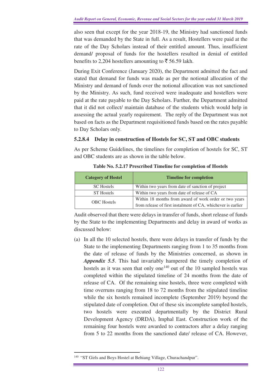also seen that except for the year 2018-19, the Ministry had sanctioned funds that was demanded by the State in full. As a result, Hostellers were paid at the rate of the Day Scholars instead of their entitled amount. Thus, insufficient demand/ proposal of funds for the hostellers resulted in denial of entitled benefits to 2,204 hostellers amounting to  $\bar{z}$  56.59 lakh.

During Exit Conference (January 2020), the Department admitted the fact and stated that demand for funds was made as per the notional allocation of the Ministry and demand of funds over the notional allocation was not sanctioned by the Ministry. As such, fund received were inadequate and hostellers were paid at the rate payable to the Day Scholars. Further, the Department admitted that it did not collect/ maintain database of the students which would help in assessing the actual yearly requirement. The reply of the Department was not based on facts as the Department requisitioned funds based on the rates payable to Day Scholars only.

# **5.2.8.4 Delay in construction of Hostels for SC, ST and OBC students**

As per Scheme Guidelines, the timelines for completion of hostels for SC, ST and OBC students are as shown in the table below.

| <b>Category of Hostel</b> | <b>Timeline for completion</b>                               |  |
|---------------------------|--------------------------------------------------------------|--|
| <b>SC</b> Hostels         | Within two years from date of sanction of project            |  |
| <b>ST</b> Hostels         | Within two years from date of release of CA                  |  |
| <b>OBC</b> Hostels        | Within 18 months from award of work order or two years       |  |
|                           | from release of first instalment of CA, whichever is earlier |  |

**Table No. 5.2.17 Prescribed Timeline for completion of Hostels** 

Audit observed that there were delays in transfer of funds, short release of funds by the State to the implementing Departments and delay in award of works as discussed below:

(a) In all the 10 selected hostels, there were delays in transfer of funds by the State to the implementing Departments ranging from 1 to 35 months from the date of release of funds by the Ministries concerned, as shown in *Appendix 5.5*. This had invariably hampered the timely completion of hostels as it was seen that only one<sup>140</sup> out of the 10 sampled hostels was completed within the stipulated timeline of 24 months from the date of release of CA. Of the remaining nine hostels, three were completed with time overruns ranging from 18 to 72 months from the stipulated timeline while the six hostels remained incomplete (September 2019) beyond the stipulated date of completion. Out of these six incomplete sampled hostels, two hostels were executed departmentally by the District Rural Development Agency (DRDA), Imphal East. Construction work of the remaining four hostels were awarded to contractors after a delay ranging from 5 to 22 months from the sanctioned date/ release of CA. However,

<sup>&</sup>lt;sup>140</sup> "ST Girls and Boys Hostel at Behiang Village, Churachandpur".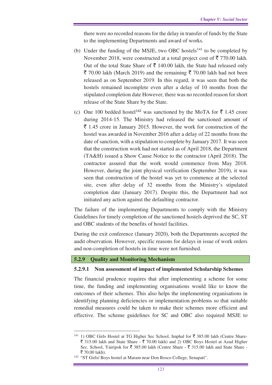there were no recorded reasons for the delay in transfer of funds by the State to the implementing Departments and award of works.

- (b) Under the funding of the MSJE, two OBC hostels<sup>141</sup> to be completed by November 2018, were constructed at a total project cost of  $\bar{\tau}$  770.00 lakh. Out of the total State Share of  $\bar{\tau}$  140.00 lakh, the State had released only  $\bar{\xi}$  70.00 lakh (March 2019) and the remaining  $\bar{\xi}$  70.00 lakh had not been released as on September 2019. In this regard, it was seen that both the hostels remained incomplete even after a delay of 10 months from the stipulated completion date However, there was no recorded reason for short release of the State Share by the State.
- (c) One 100 bedded hostel<sup>142</sup> was sanctioned by the MoTA for  $\bar{\mathfrak{c}}$  1.45 crore during 2014-15. The Ministry had released the sanctioned amount of  $\bar{\xi}$  1.45 crore in January 2015. However, the work for construction of the hostel was awarded in November 2016 after a delay of 22 months from the date of sanction, with a stipulation to complete by January 2017. It was seen that the construction work had not started as of April 2018, the Department (TA&H) issued a Show Cause Notice to the contractor (April 2018). The contractor assured that the work would commence from May 2018. However, during the joint physical verification (September 2019), it was seen that construction of the hostel was yet to commence at the selected site, even after delay of 32 months from the Ministry's stipulated completion date (January 2017). Despite this, the Department had not initiated any action against the defaulting contractor.

The failure of the implementing Departments to comply with the Ministry Guidelines for timely completion of the sanctioned hostels deprived the SC, ST and OBC students of the benefits of hostel facilities.

During the exit conference (January 2020), both the Departments accepted the audit observation. However, specific reasons for delays in issue of work orders and non-completion of hostels in time were not furnished.

### **5.2.9 Quality and Monitoring Mechanism**

### **5.2.9.1 Non assessment of impact of implemented Scholarship Schemes**

The financial prudence requires that after implementing a scheme for some time, the funding and implementing organisations would like to know the outcomes of their schemes. This also helps the implementing organisations in identifying planning deficiencies or implementation problems so that suitable remedial measures could be taken to make their schemes more efficient and effective. The scheme guidelines for SC and OBC also required MSJE to

 $\overline{a}$ <sup>141</sup> 1) OBC Girls Hostel at TG Higher Sec School, Imphal for  $\bar{z}$  385.00 lakh (Centre Share- $\bar{\xi}$  315.00 lakh and State Share -  $\bar{\xi}$  70.00 lakh) and 2) OBC Boys Hostel at Azad Higher Sec. School, Yairipok for  $\overline{\xi}$  385.00 lakh (Centre Share -  $\overline{\xi}$  315.00 lakh and State Share -₹ 70.00 lakh).

<sup>&</sup>lt;sup>142</sup> "ST Girls/ Boys hostel at Maram near Don Bosco College, Senapati".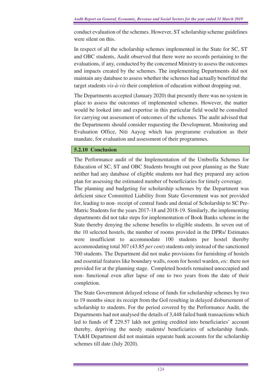conduct evaluation of the schemes. However, ST scholarship scheme guidelines were silent on this.

In respect of all the scholarship schemes implemented in the State for SC, ST and OBC students, Audit observed that there were no records pertaining to the evaluations, if any, conducted by the concerned Ministry to assess the outcomes and impacts created by the schemes. The implementing Departments did not maintain any database to assess whether the schemes had actually benefitted the target students *vis-à-vis* their completion of education without dropping out.

The Departments accepted (January 2020) that presently there was no system in place to assess the outcomes of implemented schemes. However, the matter would be looked into and expertise in this particular field would be consulted for carrying out assessment of outcomes of the schemes. The audit advised that the Departments should consider requesting the Development, Monitoring and Evaluation Office, Niti Aayog which has programme evaluation as their mandate, for evaluation and assessment of their programmes.

### **5.2.10 Conclusion**

The Performance audit of the Implementation of the Umbrella Schemes for Education of SC, ST and OBC Students brought out poor planning as the State neither had any database of eligible students nor had they prepared any action plan for assessing the estimated number of beneficiaries for timely coverage.

The planning and budgeting for scholarship schemes by the Department was deficient since Committed Liability from State Government was not provided for, leading to non- receipt of central funds and denial of Scholarship to SC Pre-Matric Students for the years 2017-18 and 2018-19. Similarly, the implementing departments did not take steps for implementation of Book Banks scheme in the State thereby denying the scheme benefits to eligible students. In seven out of the 10 selected hostels, the number of rooms provided in the DPRs/ Estimates were insufficient to accommodate 100 students per hostel thereby accommodating total 307 (43.85 *per cent*) students only instead of the sanctioned 700 students. The Department did not make provisions for furnishing of hostels and essential features like boundary walls, room for hostel warden, *etc*. there not provided for at the planning stage. Completed hostels remained unoccupied and non- functional even after lapse of one to two years from the date of their completion.

The State Government delayed release of funds for scholarship schemes by two to 19 months since its receipt from the GoI resulting in delayed disbursement of scholarship to students. For the period covered by the Performance Audit, the Departments had not analysed the details of 3,448 failed bank transactions which led to funds of  $\bar{\tau}$  229.57 lakh not getting credited into beneficiaries' account thereby, depriving the needy students/ beneficiaries of scholarship funds. TA&H Department did not maintain separate bank accounts for the scholarship schemes till date (July 2020).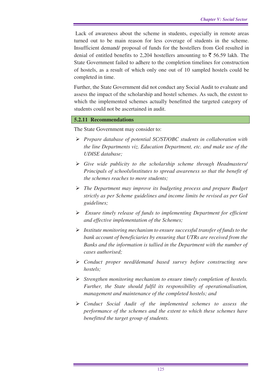Lack of awareness about the scheme in students, especially in remote areas turned out to be main reason for less coverage of students in the scheme. Insufficient demand/ proposal of funds for the hostellers from GoI resulted in denial of entitled benefits to 2,204 hostellers amounting to  $\bar{\tau}$  56.59 lakh. The State Government failed to adhere to the completion timelines for construction of hostels, as a result of which only one out of 10 sampled hostels could be completed in time.

Further, the State Government did not conduct any Social Audit to evaluate and assess the impact of the scholarship and hostel schemes. As such, the extent to which the implemented schemes actually benefitted the targeted category of students could not be ascertained in audit.

### **5.2.11 Recommendations**

The State Government may consider to:

- *Prepare database of potential SC/ST/OBC students in collaboration with the line Departments viz. Education Department, etc. and make use of the UDISE database;*
- *Give wide publicity to the scholarship scheme through Headmasters/ Principals of schools/institutes to spread awareness so that the benefit of the schemes reaches to more students;*
- *The Department may improve its budgeting process and prepare Budget strictly as per Scheme guidelines and income limits be revised as per GoI guidelines;*
- *Ensure timely release of funds to implementing Department for efficient and effective implementation of the Schemes;*
- *Institute monitoring mechanism to ensure successful transfer of funds to the bank account of beneficiaries by ensuring that UTRs are received from the Banks and the information is tallied in the Department with the number of cases authorised;*
- *Conduct proper need/demand based survey before constructing new hostels;*
- *Strengthen monitoring mechanism to ensure timely completion of hostels. Further, the State should fulfil its responsibility of operationalisation, management and maintenance of the completed hostels; and*
- *Conduct Social Audit of the implemented schemes to assess the performance of the schemes and the extent to which these schemes have benefitted the target group of students.*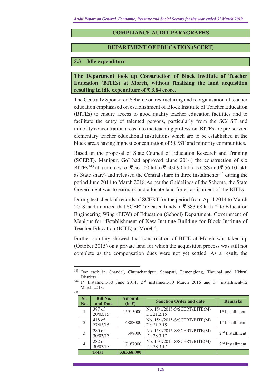### **COMPLIANCE AUDIT PARAGRAPHS**

#### **DEPARTMENT OF EDUCATION (SCERT)**

#### **5.3 Idle expenditure**

 $\overline{a}$ 

**The Department took up Construction of Block Institute of Teacher Education (BITEs) at Moreh, without finalising the land acquisition**  resulting in idle expenditure of  $\bar{\mathbf{\tau}}$  3.84 crore.

The Centrally Sponsored Scheme on restructuring and reorganisation of teacher education emphasised on establishment of Block Institute of Teacher Education (BITEs) to ensure access to good quality teacher education facilities and to facilitate the entry of talented persons, particularly from the SC/ ST and minority concentration areas into the teaching profession. BITEs are pre-service elementary teacher educational institutions which are to be established in the block areas having highest concentration of SC/ST and minority communities.

Based on the proposal of State Council of Education Research and Training (SCERT), Manipur, GoI had approved (June 2014) the construction of six BITEs<sup>143</sup> at a unit cost of  $\overline{5}$  561.00 lakh ( $\overline{5}$  504.90 lakh as CSS and  $\overline{5}$  56.10 lakh as State share) and released the Central share in three instalments<sup>144</sup> during the period June 2014 to March 2018.As per the Guidelines of the Scheme, the State Government was to earmark and allocate land for establishment of the BITEs.

During test check of records of SCERT for the period from April 2014 to March 2018, audit noticed that SCERT released funds of  $\overline{5}$  383.68 lakh<sup>145</sup> to Education Engineering Wing (EEW) of Education (School) Department, Government of Manipur for "Establishment of New Institute Building for Block Institute of Teacher Education (BITE) at Moreh".

Further scrutiny showed that construction of BITE at Moreh was taken up (October 2015) on a private land for which the acquisition process was still not complete as the compensation dues were not yet settled. As a result, the

<sup>144</sup> 1st Instalment-30 June 2014; 2nd instalment-30 March 2016 and 3rd installment-12 March 2018. 145

| SI.<br>No.     | <b>Bill No.</b><br>and Date | <b>Amount</b><br>$(in \bar{ζ})$ | <b>Sanction Order and date</b>               | <b>Remarks</b>              |  |
|----------------|-----------------------------|---------------------------------|----------------------------------------------|-----------------------------|--|
|                | 387 of<br>20/03/15          | 15915000                        | No. 15/1/2015-S/SCERT/BITE(M)<br>Dt. 21.2.15 | 1 <sup>st</sup> Installment |  |
| $\mathfrak{D}$ | $418$ of<br>27/03/15        | 4888000                         | No. 15/1/2015-S/SCERT/BITE(M)<br>Dt. 21.2.15 | 1 <sup>st</sup> Installment |  |
| 3              | $280$ of<br>30/03/17        | 398000                          | No. 15/1/2015-S/SCERT/BITE(M)<br>Dt. 28.3.17 | $2nd$ Installment           |  |
| 4              | $282$ of<br>30/03/17        | 17167000                        | No. 15/1/2015-S/SCERT/BITE(M)<br>Dt. 28.3.17 | $2nd$ Installment           |  |
|                | <b>Total</b>                | 3,83,68,000                     |                                              |                             |  |

<sup>143</sup> One each in Chandel, Churachandpur, Senapati, Tamenglong, Thoubal and Ukhrul Districts.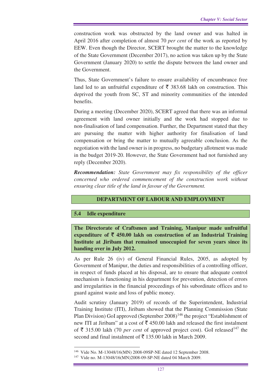construction work was obstructed by the land owner and was halted in April 2016 after completion of almost 70 *per cent* of the work as reported by EEW. Even though the Director, SCERT brought the matter to the knowledge of the State Government (December 2017), no action was taken up by the State Government (January 2020) to settle the dispute between the land owner and the Government.

Thus, State Government's failure to ensure availability of encumbrance free land led to an unfruitful expenditure of  $\bar{\tau}$  383.68 lakh on construction. This deprived the youth from SC, ST and minority communities of the intended benefits.

During a meeting (December 2020), SCERT agreed that there was an informal agreement with land owner initially and the work had stopped due to non-finalisation of land compensation. Further, the Department stated that they are pursuing the matter with higher authority for finalisation of land compensation or bring the matter to mutually agreeable conclusion. As the negotiation with the land owner is in progress, no budgetary allotment was made in the budget 2019-20. However, the State Government had not furnished any reply (December 2020).

*Recommendation: State Government may fix responsibility of the officer concerned who ordered commencement of the construction work without ensuring clear title of the land in favour of the Government.* 

# **DEPARTMENT OF LABOUR AND EMPLOYMENT**

### **5.4 Idle expenditure**

 $\overline{a}$ 

**The Directorate of Craftsmen and Training, Manipur made unfruitful expenditure of** ` **450.00 lakh on construction of an Industrial Training Institute at Jiribam that remained unoccupied for seven years since its handing over in July 2012.** 

As per Rule 26 (iv) of General Financial Rules, 2005, as adopted by Government of Manipur, the duties and responsibilities of a controlling officer, in respect of funds placed at his disposal, are to ensure that adequate control mechanism is functioning in his department for prevention, detection of errors and irregularities in the financial proceedings of his subordinate offices and to guard against waste and loss of public money.

Audit scrutiny (January 2019) of records of the Superintendent, Industrial Training Institute (ITI), Jiribam showed that the Planning Commission (State Plan Division) GoI approved (September  $2008$ )<sup>146</sup> the project "Establishment of new ITI at Jiribam" at a cost of  $\bar{\tau}$  450.00 lakh and released the first instalment of  $\bar{\xi}$  315.00 lakh (70 *per cent* of approved project cost). GoI released<sup>147</sup> the second and final instalment of  $\bar{\tau}$  135.00 lakh in March 2009.

<sup>146</sup> Vide No. M-13048/16(MN) 2008-09SP-NE dated 12 September 2008.

<sup>147</sup> Vide no. M-13048/16(MN)2008-09-SP-NE dated 04 March 2009.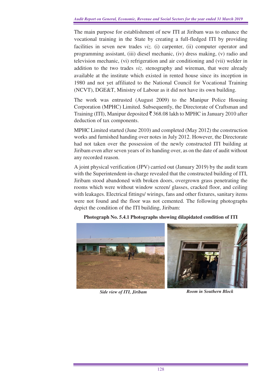The main purpose for establishment of new ITI at Jiribam was to enhance the vocational training in the State by creating a full-fledged ITI by providing facilities in seven new trades *viz.* (i) carpenter, (ii) computer operator and programming assistant, (iii) diesel mechanic, (iv) dress making, (v) radio and television mechanic, (vi) refrigeration and air conditioning and (vii) welder in addition to the two trades *viz*. stenography and wireman, that were already available at the institute which existed in rented house since its inception in 1980 and not yet affiliated to the National Council for Vocational Training (NCVT), DGE&T, Ministry of Labour as it did not have its own building.

The work was entrusted (August 2009) to the Manipur Police Housing Corporation (MPHC) Limited. Subsequently, the Directorate of Craftsman and Training (ITI), Manipur deposited  $\overline{\xi}$  368.08 lakh to MPHC in January 2010 after deduction of tax components.

MPHC Limited started (June 2010) and completed (May 2012) the construction works and furnished handing over notes in July 2012. However, the Directorate had not taken over the possession of the newly constructed ITI building at Jiribam even after seven years of its handing over, as on the date of audit without any recorded reason.

A joint physical verification (JPV) carried out (January 2019) by the audit team with the Superintendent-in-charge revealed that the constructed building of ITI, Jiribam stood abandoned with broken doors, overgrown grass penetrating the rooms which were without window screen/ glasses, cracked floor, and ceiling with leakages. Electrical fittings/ wirings, fans and other fixtures, sanitary items were not found and the floor was not cemented. The following photographs depict the condition of the ITI building, Jiribam:



**Photograph No. 5.4.1 Photographs showing dilapidated condition of ITI** 

*Side view of ITI, Jiribam Room in Southern Block*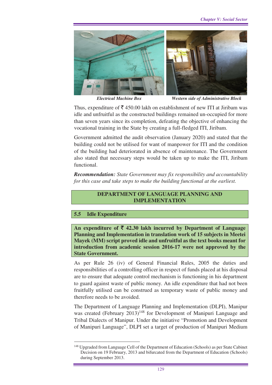

*Electrical Machine Box Western side of Administrative Block* 

Thus, expenditure of  $\bar{\mathcal{F}}$  450.00 lakh on establishment of new ITI at Jiribam was idle and unfruitful as the constructed buildings remained un-occupied for more than seven years since its completion, defeating the objective of enhancing the vocational training in the State by creating a full-fledged ITI, Jiribam.

Government admitted the audit observation (January 2020) and stated that the building could not be utilised for want of manpower for ITI and the condition of the building had deteriorated in absence of maintenance. The Government also stated that necessary steps would be taken up to make the ITI, Jiribam functional.

*Recommendation: State Government may fix responsibility and accountability for this case and take steps to make the building functional at the earliest.* 

### **DEPARTMENT OF LANGUAGE PLANNING AND IMPLEMENTATION**

### **5.5 Idle Expenditure**

 $\overline{a}$ 

**An expenditure of** ` **42.30 lakh incurred by Department of Language Planning and Implementation in translation work of 15 subjects in Meetei Mayek (MM) script proved idle and unfruitful as the text books meant for introduction from academic session 2016-17 were not approved by the State Government.**

As per Rule 26 (iv) of General Financial Rules, 2005 the duties and responsibilities of a controlling officer in respect of funds placed at his disposal are to ensure that adequate control mechanism is functioning in his department to guard against waste of public money. An idle expenditure that had not been fruitfully utilised can be construed as temporary waste of public money and therefore needs to be avoided.

The Department of Language Planning and Implementation (DLPI), Manipur was created (February  $2013$ )<sup>148</sup> for Development of Manipuri Language and Tribal Dialects of Manipur. Under the initiative "Promotion and Development of Manipuri Language", DLPI set a target of production of Manipuri Medium

<sup>&</sup>lt;sup>148</sup> Upgraded from Language Cell of the Department of Education (Schools) as per State Cabinet Decision on 19 February, 2013 and bifurcated from the Department of Education (Schools) during September 2013.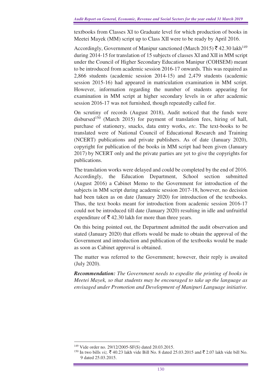textbooks from Classes XI to Graduate level for which production of books in Meetei Mayek (MM) script up to Class XII were to be ready by April 2016.

Accordingly, Government of Manipur sanctioned (March 2015)  $\bar{\tau}$  42.30 lakh<sup>149</sup> during 2014-15 for translation of 15 subjects of classes XI and XII in MM script under the Council of Higher Secondary Education Manipur (COHSEM) meant to be introduced from academic session 2016-17 onwards. This was required as 2,866 students (academic session 2014-15) and 2,479 students (academic session 2015-16) had appeared in matriculation examination in MM script. However, information regarding the number of students appearing for examination in MM script at higher secondary levels in or after academic session 2016-17 was not furnished, though repeatedly called for.

On scrutiny of records (August 2018), Audit noticed that the funds were disbursed<sup>150</sup> (March 2015) for payment of translation fees, hiring of hall, purchase of stationery, snacks, data entry works, *etc*. The text-books to be translated were of National Council of Educational Research and Training (NCERT) publications and private publishers. As of date (January 2020), copyright for publication of the books in MM script had been given (January 2017) by NCERT only and the private parties are yet to give the copyrights for publications.

The translation works were delayed and could be completed by the end of 2016. Accordingly, the Education Department, School section submitted (August 2016) a Cabinet Memo to the Government for introduction of the subjects in MM script during academic session 2017-18, however, no decision had been taken as on date (January 2020) for introduction of the textbooks. Thus, the text books meant for introduction from academic session 2016-17 could not be introduced till date (January 2020) resulting in idle and unfruitful expenditure of  $\bar{\tau}$  42.30 lakh for more than three years.

On this being pointed out, the Department admitted the audit observation and stated (January 2020) that efforts would be made to obtain the approval of the Government and introduction and publication of the textbooks would be made as soon as Cabinet approval is obtained.

The matter was referred to the Government; however, their reply is awaited (July 2020).

*Recommendation: The Government needs to expedite the printing of books in Meetei Mayek, so that students may be encouraged to take up the language as envisaged under Promotion and Development of Manipuri Language initiative.* 

<sup>149</sup> Vide order no. 29/12/2005-SF(S) dated 20.03.2015.

<sup>&</sup>lt;sup>150</sup> In two bills *viz.*  $\bar{\xi}$  40.23 lakh vide Bill No. 8 dated 25.03.2015 and  $\bar{\xi}$  2.07 lakh vide bill No. 9 dated 25.03.2015.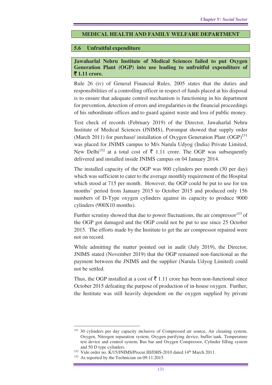### **MEDICAL HEALTH AND FAMILY WELFARE DEPARTMENT**

### **5.6 Unfruitful expenditure**

### **Jawaharlal Nehru Institute of Medical Sciences failed to put Oxygen Generation Plant (OGP) into use leading to unfruitful expenditure of**  ` **1.11 crore.**

Rule 26 (iv) of General Financial Rules, 2005 states that the duties and responsibilities of a controlling officer in respect of funds placed at his disposal is to ensure that adequate control mechanism is functioning in his department for prevention, detection of errors and irregularities in the financial proceedings of his subordinate offices and to guard against waste and loss of public money.

Test check of records (February 2019) of the Director, Jawaharlal Nehru Institute of Medical Sciences **(**JNIMS), Porompat showed that supply order (March 2011) for purchase/ installation of Oxygen Generation Plant  $(OGP)$ <sup>151</sup> was placed for JNIMS campus to M/s Narula Udyog (India) Private Limited, New Delhi<sup>152</sup> at a total cost of  $\overline{z}$  1.11 crore. The OGP was subsequently delivered and installed inside JNIMS campus on 04 January 2014.

The installed capacity of the OGP was 900 cylinders per month (30 per day) which was sufficient to cater to the average monthly requirement of the Hospital which stood at 715 per month. However, the OGP could be put to use for ten months' period from January 2015 to October 2015 and produced only 156 numbers of D-Type oxygen cylinders against its capacity to produce 9000 cylinders (900X10 months).

Further scrutiny showed that due to power fluctuations, the air compressor $153$  of the OGP got damaged and the OGP could not be put to use since 25 October 2015. The efforts made by the Institute to get the air compressor repaired were not on record.

While admitting the matter pointed out in audit (July 2019), the Director, JNIMS stated (November 2019) that the OGP remained non-functional as the payment between the JNIMS and the supplier (Narula Udyog Limited) could not be settled.

Thus, the OGP installed at a cost of  $\bar{\tau}$  1.11 crore has been non-functional since October 2015 defeating the purpose of production of in-house oxygen. Further, the Institute was still heavily dependent on the oxygen supplied by private

 $\overline{a}$ <sup>151</sup> 30 cylinders per day capacity inclusive of Compressed air source, Air cleaning system, Oxygen, Nitrogen separation system, Oxygen purifying device, buffer tank, Temperature test device and control system, Bus bar and Oxygen Compressor, Cylinder filling system and 50 D type cylinders.

<sup>&</sup>lt;sup>152</sup> Vide order no. K/15/JNIMS/Procur.III/DHS-2010 dated 14<sup>th</sup> March 2011.

<sup>&</sup>lt;sup>153</sup> As reported by the Technician on 09.11.2015.